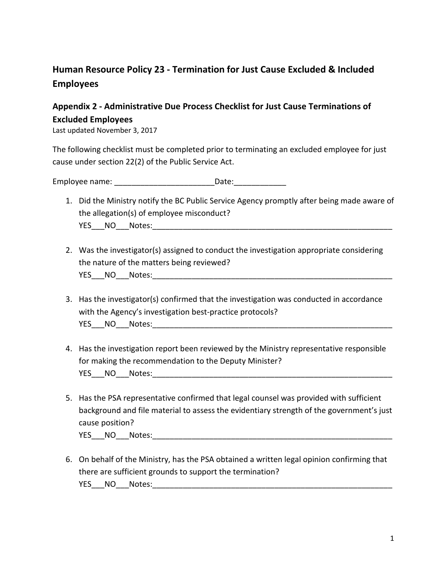## **Human Resource Policy 23 - Termination for Just Cause Excluded & Included Employees**

## **Appendix 2 - Administrative Due Process Checklist for Just Cause Terminations of Excluded Employees**

Last updated November 3, 2017

The following checklist must be completed prior to terminating an excluded employee for just cause under section 22(2) of the Public Service Act.

Employee name: \_\_\_\_\_\_\_\_\_\_\_\_\_\_\_\_\_\_\_\_\_\_\_Date:\_\_\_\_\_\_\_\_\_\_\_\_

- 1. Did the Ministry notify the BC Public Service Agency promptly after being made aware of the allegation(s) of employee misconduct? YES NO Notes:  $\blacksquare$
- 2. Was the investigator(s) assigned to conduct the investigation appropriate considering the nature of the matters being reviewed? YES NO Notes:
- 3. Has the investigator(s) confirmed that the investigation was conducted in accordance with the Agency's investigation best-practice protocols? YES NO Notes:
- 4. Has the investigation report been reviewed by the Ministry representative responsible for making the recommendation to the Deputy Minister? YES NO Notes:
- 5. Has the PSA representative confirmed that legal counsel was provided with sufficient background and file material to assess the evidentiary strength of the government's just cause position? YES NO Notes: where the control of the control of the control of the control of the control of the control of the control of the control of the control of the control of the control of the control of the control of the con
- 6. On behalf of the Ministry, has the PSA obtained a written legal opinion confirming that there are sufficient grounds to support the termination? YES NO Notes: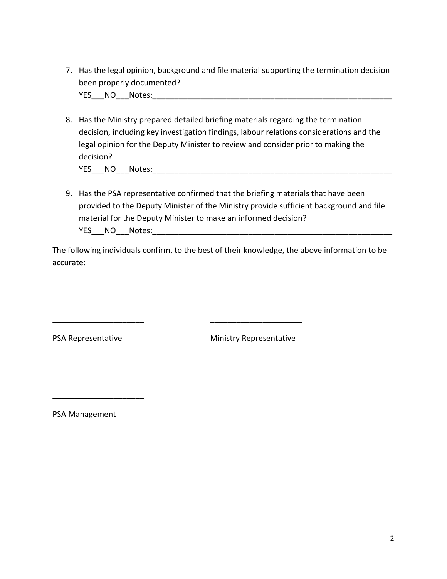7. Has the legal opinion, background and file material supporting the termination decision been properly documented?

YES\_\_\_NO\_\_\_Notes:\_\_\_\_\_\_\_\_\_\_\_\_\_\_\_\_\_\_\_\_\_\_\_\_\_\_\_\_\_\_\_\_\_\_\_\_\_\_\_\_\_\_\_\_\_\_\_\_\_\_\_\_\_\_\_

8. Has the Ministry prepared detailed briefing materials regarding the termination decision, including key investigation findings, labour relations considerations and the legal opinion for the Deputy Minister to review and consider prior to making the decision? YES NO Notes:

9. Has the PSA representative confirmed that the briefing materials that have been provided to the Deputy Minister of the Ministry provide sufficient background and file material for the Deputy Minister to make an informed decision? YES\_\_\_NO\_\_\_Notes:\_\_\_\_\_\_\_\_\_\_\_\_\_\_\_\_\_\_\_\_\_\_\_\_\_\_\_\_\_\_\_\_\_\_\_\_\_\_\_\_\_\_\_\_\_\_\_\_\_\_\_\_\_\_\_

The following individuals confirm, to the best of their knowledge, the above information to be accurate:

\_\_\_\_\_\_\_\_\_\_\_\_\_\_\_\_\_\_\_\_\_ \_\_\_\_\_\_\_\_\_\_\_\_\_\_\_\_\_\_\_\_\_

PSA Representative Ministry Representative

PSA Management

\_\_\_\_\_\_\_\_\_\_\_\_\_\_\_\_\_\_\_\_\_